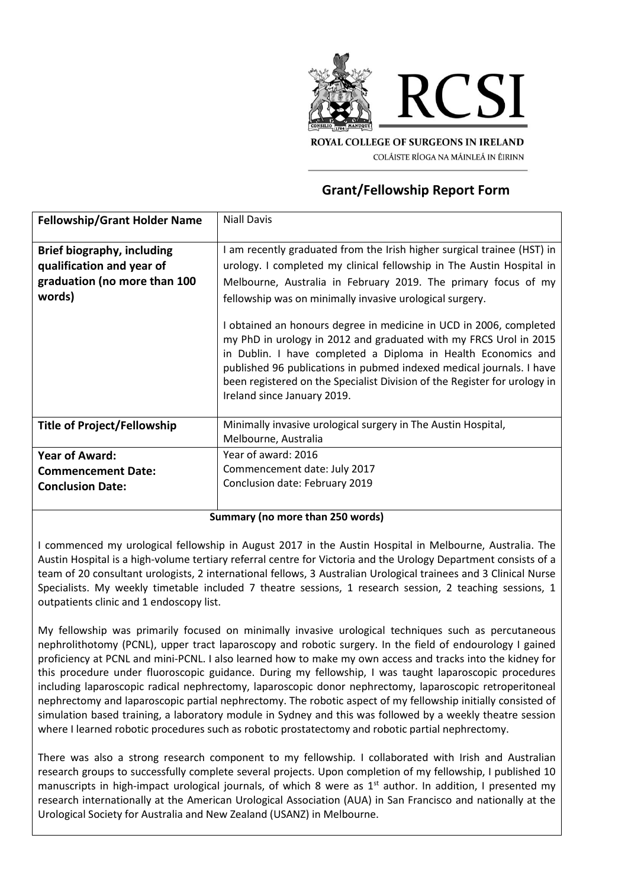

**ROYAL COLLEGE OF SURGEONS IN IRELAND** COLÁISTE RÍOGA NA MÁINLEÁ IN ÉIRINN

# **Grant/Fellowship Report Form**

| <b>Fellowship/Grant Holder Name</b>                                                                      | <b>Niall Davis</b>                                                                                                                                                                                                                                                                                                                                                                                                                                                                                                                                                                                                                                                             |
|----------------------------------------------------------------------------------------------------------|--------------------------------------------------------------------------------------------------------------------------------------------------------------------------------------------------------------------------------------------------------------------------------------------------------------------------------------------------------------------------------------------------------------------------------------------------------------------------------------------------------------------------------------------------------------------------------------------------------------------------------------------------------------------------------|
| <b>Brief biography, including</b><br>qualification and year of<br>graduation (no more than 100<br>words) | I am recently graduated from the Irish higher surgical trainee (HST) in<br>urology. I completed my clinical fellowship in The Austin Hospital in<br>Melbourne, Australia in February 2019. The primary focus of my<br>fellowship was on minimally invasive urological surgery.<br>I obtained an honours degree in medicine in UCD in 2006, completed<br>my PhD in urology in 2012 and graduated with my FRCS Urol in 2015<br>in Dublin. I have completed a Diploma in Health Economics and<br>published 96 publications in pubmed indexed medical journals. I have<br>been registered on the Specialist Division of the Register for urology in<br>Ireland since January 2019. |
| Title of Project/Fellowship                                                                              | Minimally invasive urological surgery in The Austin Hospital,<br>Melbourne, Australia                                                                                                                                                                                                                                                                                                                                                                                                                                                                                                                                                                                          |
| <b>Year of Award:</b>                                                                                    | Year of award: 2016                                                                                                                                                                                                                                                                                                                                                                                                                                                                                                                                                                                                                                                            |
| <b>Commencement Date:</b>                                                                                | Commencement date: July 2017                                                                                                                                                                                                                                                                                                                                                                                                                                                                                                                                                                                                                                                   |
| <b>Conclusion Date:</b>                                                                                  | Conclusion date: February 2019                                                                                                                                                                                                                                                                                                                                                                                                                                                                                                                                                                                                                                                 |
| $\mathcal{L}_{\mathbf{z}}$ and $\mathbf{z}$ are the set of $\mathbf{z}$ . The set of $\mathbf{z}$        |                                                                                                                                                                                                                                                                                                                                                                                                                                                                                                                                                                                                                                                                                |

**Summary (no more than 250 words)** 

I commenced my urological fellowship in August 2017 in the Austin Hospital in Melbourne, Australia. The Austin Hospital is a high-volume tertiary referral centre for Victoria and the Urology Department consists of a team of 20 consultant urologists, 2 international fellows, 3 Australian Urological trainees and 3 Clinical Nurse Specialists. My weekly timetable included 7 theatre sessions, 1 research session, 2 teaching sessions, 1 outpatients clinic and 1 endoscopy list.

My fellowship was primarily focused on minimally invasive urological techniques such as percutaneous nephrolithotomy (PCNL), upper tract laparoscopy and robotic surgery. In the field of endourology I gained proficiency at PCNL and mini-PCNL. I also learned how to make my own access and tracks into the kidney for this procedure under fluoroscopic guidance. During my fellowship, I was taught laparoscopic procedures including laparoscopic radical nephrectomy, laparoscopic donor nephrectomy, laparoscopic retroperitoneal nephrectomy and laparoscopic partial nephrectomy. The robotic aspect of my fellowship initially consisted of simulation based training, a laboratory module in Sydney and this was followed by a weekly theatre session where I learned robotic procedures such as robotic prostatectomy and robotic partial nephrectomy.

There was also a strong research component to my fellowship. I collaborated with Irish and Australian research groups to successfully complete several projects. Upon completion of my fellowship, I published 10 manuscripts in high-impact urological journals, of which 8 were as 1<sup>st</sup> author. In addition, I presented my research internationally at the American Urological Association (AUA) in San Francisco and nationally at the Urological Society for Australia and New Zealand (USANZ) in Melbourne.